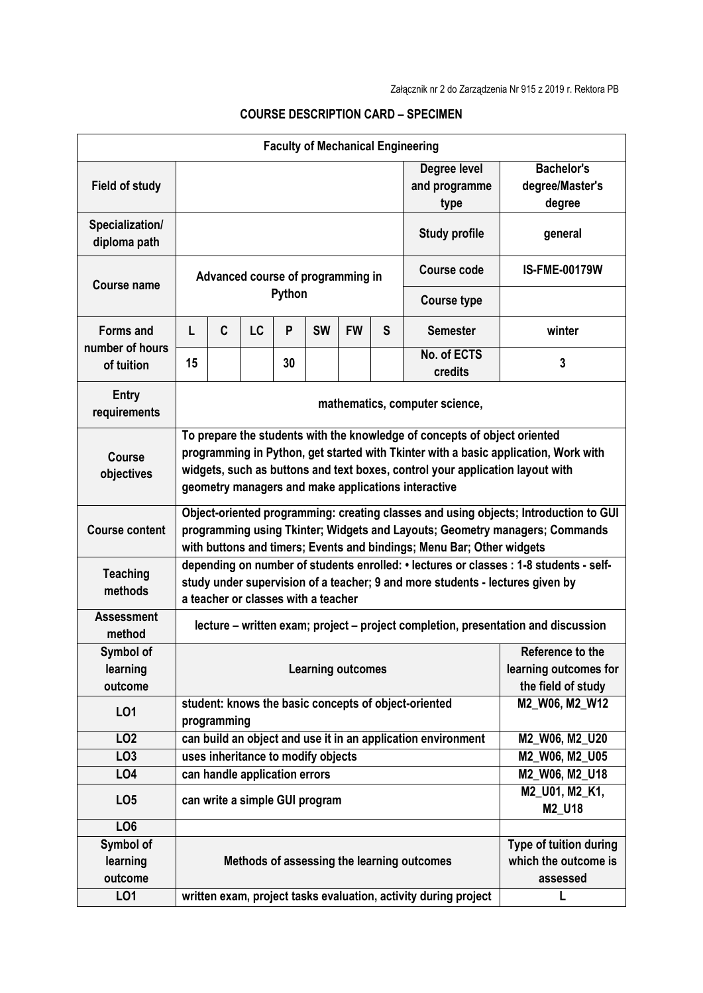|                                  |                                                                                                                                                                                                                                                                                                          |                                                            |                                    |        |           |           |                                       | <b>Faculty of Mechanical Engineering</b>                        |                        |  |  |
|----------------------------------|----------------------------------------------------------------------------------------------------------------------------------------------------------------------------------------------------------------------------------------------------------------------------------------------------------|------------------------------------------------------------|------------------------------------|--------|-----------|-----------|---------------------------------------|-----------------------------------------------------------------|------------------------|--|--|
| <b>Field of study</b>            |                                                                                                                                                                                                                                                                                                          |                                                            |                                    |        |           |           | Degree level<br>and programme<br>type | <b>Bachelor's</b><br>degree/Master's<br>degree                  |                        |  |  |
| Specialization/<br>diploma path  |                                                                                                                                                                                                                                                                                                          |                                                            |                                    |        |           |           |                                       | <b>Study profile</b>                                            | general                |  |  |
| <b>Course name</b>               | Advanced course of programming in                                                                                                                                                                                                                                                                        |                                                            |                                    |        |           |           |                                       | <b>Course code</b>                                              | <b>IS-FME-00179W</b>   |  |  |
|                                  |                                                                                                                                                                                                                                                                                                          |                                                            |                                    | Python |           |           |                                       | <b>Course type</b>                                              |                        |  |  |
| <b>Forms and</b>                 | L                                                                                                                                                                                                                                                                                                        | C                                                          | <b>LC</b>                          | P      | <b>SW</b> | <b>FW</b> | S                                     | <b>Semester</b>                                                 | winter                 |  |  |
| number of hours<br>of tuition    | 15                                                                                                                                                                                                                                                                                                       |                                                            |                                    | 30     |           |           |                                       | No. of ECTS<br>credits                                          | 3                      |  |  |
| <b>Entry</b><br>requirements     | mathematics, computer science,                                                                                                                                                                                                                                                                           |                                                            |                                    |        |           |           |                                       |                                                                 |                        |  |  |
| <b>Course</b><br>objectives      | To prepare the students with the knowledge of concepts of object oriented<br>programming in Python, get started with Tkinter with a basic application, Work with<br>widgets, such as buttons and text boxes, control your application layout with<br>geometry managers and make applications interactive |                                                            |                                    |        |           |           |                                       |                                                                 |                        |  |  |
| <b>Course content</b>            | Object-oriented programming: creating classes and using objects; Introduction to GUI<br>programming using Tkinter; Widgets and Layouts; Geometry managers; Commands<br>with buttons and timers; Events and bindings; Menu Bar; Other widgets                                                             |                                                            |                                    |        |           |           |                                       |                                                                 |                        |  |  |
| <b>Teaching</b><br>methods       | depending on number of students enrolled: • lectures or classes : 1-8 students - self-<br>study under supervision of a teacher; 9 and more students - lectures given by<br>a teacher or classes with a teacher                                                                                           |                                                            |                                    |        |           |           |                                       |                                                                 |                        |  |  |
| <b>Assessment</b><br>method      | lecture – written exam; project – project completion, presentation and discussion                                                                                                                                                                                                                        |                                                            |                                    |        |           |           |                                       |                                                                 |                        |  |  |
| Symbol of<br>learning<br>outcome | Reference to the<br><b>Learning outcomes</b><br>learning outcomes for<br>the field of study                                                                                                                                                                                                              |                                                            |                                    |        |           |           |                                       |                                                                 |                        |  |  |
| LO1                              | M2 W06, M2 W12<br>student: knows the basic concepts of object-oriented<br>programming                                                                                                                                                                                                                    |                                                            |                                    |        |           |           |                                       |                                                                 |                        |  |  |
| LO <sub>2</sub>                  |                                                                                                                                                                                                                                                                                                          |                                                            |                                    |        |           |           |                                       | can build an object and use it in an application environment    | M2_W06, M2_U20         |  |  |
| LO <sub>3</sub>                  |                                                                                                                                                                                                                                                                                                          |                                                            | uses inheritance to modify objects |        |           |           |                                       |                                                                 | M2_W06, M2_U05         |  |  |
| LO <sub>4</sub>                  |                                                                                                                                                                                                                                                                                                          |                                                            | can handle application errors      |        |           |           |                                       |                                                                 | M2_W06, M2_U18         |  |  |
| LO <sub>5</sub>                  |                                                                                                                                                                                                                                                                                                          | M2_U01, M2_K1,<br>can write a simple GUI program<br>M2_U18 |                                    |        |           |           |                                       |                                                                 |                        |  |  |
| LO <sub>6</sub>                  |                                                                                                                                                                                                                                                                                                          |                                                            |                                    |        |           |           |                                       |                                                                 |                        |  |  |
| Symbol of                        |                                                                                                                                                                                                                                                                                                          |                                                            |                                    |        |           |           |                                       |                                                                 | Type of tuition during |  |  |
| learning                         | which the outcome is<br>Methods of assessing the learning outcomes                                                                                                                                                                                                                                       |                                                            |                                    |        |           |           |                                       |                                                                 |                        |  |  |
| outcome                          | assessed                                                                                                                                                                                                                                                                                                 |                                                            |                                    |        |           |           |                                       |                                                                 |                        |  |  |
| LO <sub>1</sub>                  |                                                                                                                                                                                                                                                                                                          |                                                            |                                    |        |           |           |                                       | written exam, project tasks evaluation, activity during project |                        |  |  |

## **COURSE DESCRIPTION CARD – SPECIMEN**